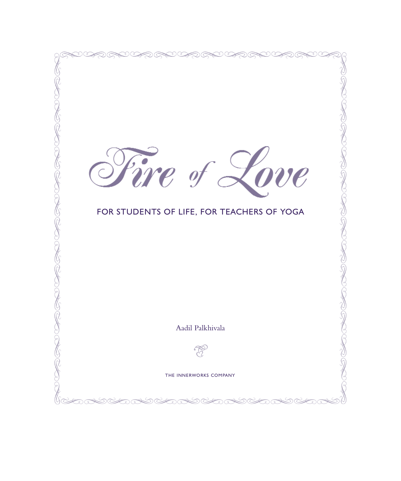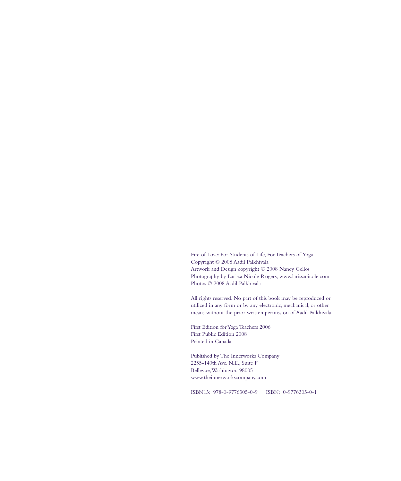Fire of Love: For Students of Life, For Teachers of Yoga Copyright © 2008 Aadil Palkhivala Artwork and Design copyright © 2008 Nancy Gellos Photography by Larissa Nicole Rogers, www.larissanicole.com Photos © 2008 Aadil Palkhivala

All rights reserved. No part of this book may be reproduced or utilized in any form or by any electronic, mechanical, or other means without the prior written permission of Aadil Palkhivala.

First Edition for Yoga Teachers 2006 First Public Edition 2008 Printed in Canada

Published by The Innerworks Company 2255-140th Ave. N.E., Suite F Bellevue,Washington 98005 www.theinnerworkscompany.com

ISBN13: 978-0-9776305-0-9 ISBN: 0-9776305-0-1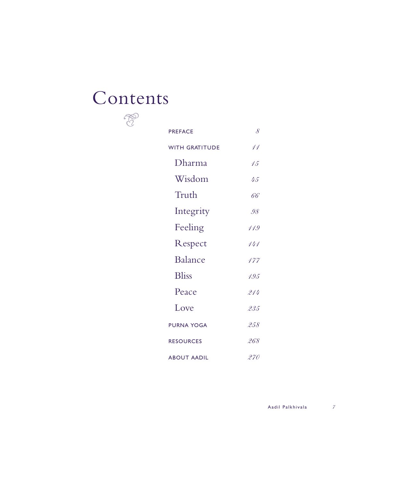## Contents  $\begin{picture}(120,15) \put(0,0){\vector(1,0){10}} \put(15,0){\vector(1,0){10}} \put(15,0){\vector(1,0){10}} \put(15,0){\vector(1,0){10}} \put(15,0){\vector(1,0){10}} \put(15,0){\vector(1,0){10}} \put(15,0){\vector(1,0){10}} \put(15,0){\vector(1,0){10}} \put(15,0){\vector(1,0){10}} \put(15,0){\vector(1,0){10}} \put(15,0){\vector(1,0){10}} \put(15,0){\vector($

| <b>PREFACE</b>        | 8    |
|-----------------------|------|
| <b>WITH GRATITUDE</b> | 11   |
| Dharma                | 15   |
| Wisdom                | 45   |
| Truth                 | 66   |
| Integrity             | .98  |
| Feeling               | 119  |
| Respect               | 444  |
| <b>Balance</b>        | 177  |
| <b>Bliss</b>          | 1.95 |
| Peace                 | 211  |
| Love                  | 235  |
| <b>PURNA YOGA</b>     | 258  |
| <b>RESOURCES</b>      | 268  |
| <b>ABOUT AADIL</b>    | 270  |

A a dil Palk hivala *7*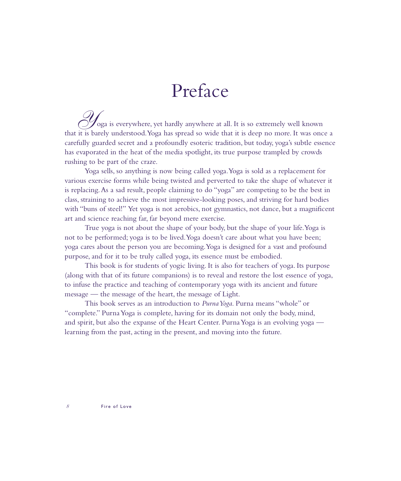## Preface

*Y*oga is everywhere, yet hardly anywhere at all. It is so extremely well known that it is barely understood.Yoga has spread so wide that it is deep no more. It was once a carefully guarded secret and a profoundly esoteric tradition, but today, yoga's subtle essence has evaporated in the heat of the media spotlight, its true purpose trampled by crowds rushing to be part of the craze.

Yoga sells, so anything is now being called yoga.Yoga is sold as a replacement for various exercise forms while being twisted and perverted to take the shape of whatever it is replacing.As a sad result, people claiming to do "yoga" are competing to be the best in class, straining to achieve the most impressive-looking poses, and striving for hard bodies with "buns of steel!" Yet yoga is not aerobics, not gymnastics, not dance, but a magnificent art and science reaching far, far beyond mere exercise.

True yoga is not about the shape of your body, but the shape of your life.Yoga is not to be performed; yoga is to be lived.Yoga doesn't care about what you have been; yoga cares about the person you are becoming.Yoga is designed for a vast and profound purpose, and for it to be truly called yoga, its essence must be embodied.

This book is for students of yogic living. It is also for teachers of yoga. Its purpose (along with that of its future companions) is to reveal and restore the lost essence of yoga, to infuse the practice and teaching of contemporary yoga with its ancient and future message — the message of the heart, the message of Light.

This book serves as an introduction to *Purna Yoga*. Purna means "whole" or "complete." Purna Yoga is complete, having for its domain not only the body, mind, and spirit, but also the expanse of the Heart Center. Purna Yoga is an evolving yoga learning from the past, acting in the present, and moving into the future.